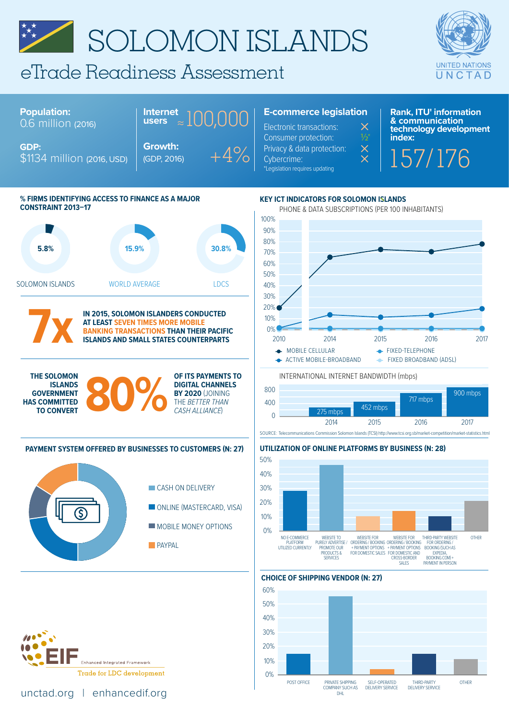# SOLOMON ISLANDS

## eTrade Readiness Assessment



#### **Population:** 0.6 million (2016) \$1134 million (2016, USD) **Growth:** (GDP, 2016) **Internet users**  ≈100,000  $+4%$ **E-commerce legislation** Electronic transactions: Consumer protection: Privacy & data protection: Cybercrime:<br>\*Legislation requires updating

**Rank, ITU' information & communication**   $\mathcal{X}$  **i** technology development<br>½ **index:** 

 $\frac{\times}{\times}$  157/176





**7x**

**GDP:**

**IN 2015, SOLOMON ISLANDERS CONDUCTED AT LEAST SEVEN TIMES MORE MOBILE BANKING TRANSACTIONS THAN THEIR PACIFIC ISLANDS AND SMALL STATES COUNTERPARTS**

**ISLANDS GOVERNMENT HAS COMMITTED TO CONVERT**

#### THE SOLOMON<br>
ISLANDS<br>
GOVERNMENT<br>
TO CONVERT **OF ITS PAYMENTS TO DIGITAL CHANNELS BY 2020** (JOINING THE *BETTER THAN CASH ALLIANCE*)

#### **PAYMENT SYSTEM OFFERED BY BUSINESSES TO CUSTOMERS (N: 27)**





[unctad.org](http://unctad.org) | [enhancedif.org](http://enhancedif.org)

PHONE & DATA SUBSCRIPTIONS (PER 100 INHABITANTS) **KEY ICT INDICATORS FOR SOLOMON ISLANDS**



INTERNATIONAL INTERNET BANDWIDTH (mbps)